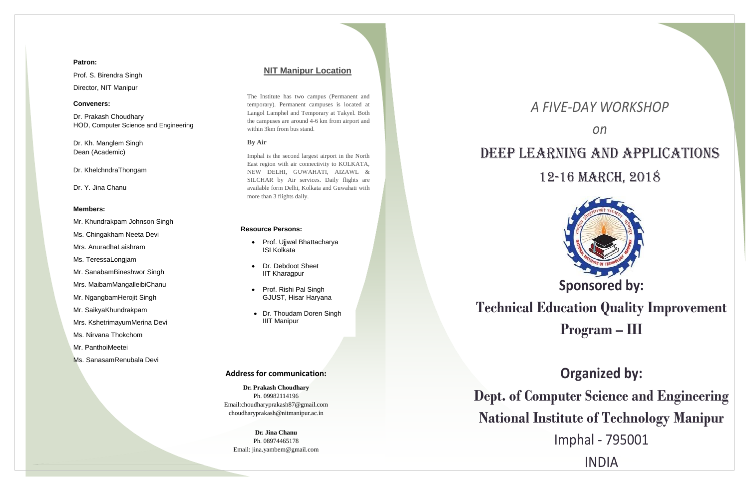## *A FIVE-DAY WORKSHOP*



## *on* DEEP LEARNING AND APPLICATIONS 12-16 March, 2018

# **Sponsored by:**

## **Technical Education Quality Improvement Program – III**

## **Organized by:**

**Dept. of Computer Science and Engineering National Institute of Technology Manipur** Imphal - 795001 INDIA

## **Address for communication:**

**Dr. Prakash Choudhary** Ph. 09982114196 Email:choudharyprakash87@gmail.com choudharyprakash@nitmanipur.ac.in

**Dr. Jina Chanu** Ph. 08974465178 Email: jina.yambem@gmail.com

## **Patron:**

Prof. S. Birendra Singh Director, NIT Manipur

## **Conveners:**

Dr. Prakash Choudhary HOD, Computer Science and Engineering

Dr. Kh. Manglem Singh Dean (Academic)

Dr. KhelchndraThongam

Dr. Y. Jina Chanu

### **Members:**

Mr. Khundrakpam Johnson Singh

Ms. Chingakham Neeta Devi

Mrs. AnuradhaLaishram

Ms. TeressaLongjam

Mr. SanabamBineshwor Singh

Mrs. MaibamMangalleibiChanu

- Prof. Ujjwal Bhattacharya ISI Kolkata
- Dr. Debdoot Sheet IIT Kharagpur
- Prof. Rishi Pal Singh GJUST, Hisar Haryana
- Dr. Thoudam Doren Singh IIIT Manipur

Mr. NgangbamHerojit Singh

Mr. SaikyaKhundrakpam

Mrs. KshetrimayumMerina Devi

Ms. Nirvana Thokchom

Mr. PanthoiMeetei

Ms. SanasamRenubala Devi

## **NIT Manipur Location**

The Institute has two campus (Permanent and temporary). Permanent campuses is located at Langol Lamphel and Temporary at Takyel. Both the campuses are around 4-6 km from airport and within 3km from bus stand.

## **By Air**

Imphal is the second largest airport in the North East region with air connectivity to KOLKATA, NEW DELHI, GUWAHATI, AIZAWL & SILCHAR by Air services. Daily flights are available form Delhi, Kolkata and Guwahati with more than 3 flights daily.

### **Resource Persons:**